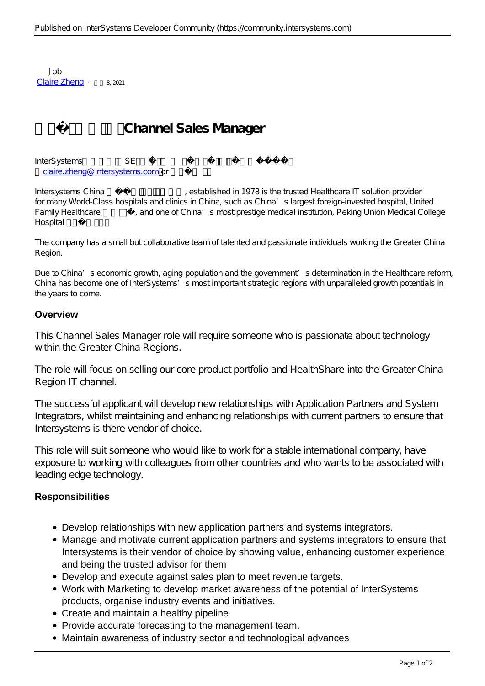Job [Claire Zheng](https://cn.community.intersystems.com/user/claire-zheng) · a, 2021

## **Channel Sales Manager**

InterSystems SE [claire.zheng@intersystems.com](https://mailto:claire.zheng@intersystems.com) or

Intersystems China (a) established in 1978 is the trusted Healthcare IT solution provider for many World-Class hospitals and clinics in China, such as China's largest foreign-invested hospital, United Family Healthcare and one of China's most prestige medical institution, Peking Union Medical College Hospital

The company has a small but collaborative team of talented and passionate individuals working the Greater China Region.

Due to China's economic growth, aging population and the government's determination in the Healthcare reform, China has become one of InterSystems's most important strategic regions with unparalleled growth potentials in the years to come.

## **Overview**

This Channel Sales Manager role will require someone who is passionate about technology within the Greater China Regions.

The role will focus on selling our core product portfolio and HealthShare into the Greater China Region IT channel.

The successful applicant will develop new relationships with Application Partners and System Integrators, whilst maintaining and enhancing relationships with current partners to ensure that Intersystems is there vendor of choice.

This role will suit someone who would like to work for a stable international company, have exposure to working with colleagues from other countries and who wants to be associated with leading edge technology.

## **Responsibilities**

- Develop relationships with new application partners and systems integrators.
- Manage and motivate current application partners and systems integrators to ensure that Intersystems is their vendor of choice by showing value, enhancing customer experience and being the trusted advisor for them
- Develop and execute against sales plan to meet revenue targets.
- Work with Marketing to develop market awareness of the potential of InterSystems products, organise industry events and initiatives.
- Create and maintain a healthy pipeline
- Provide accurate forecasting to the management team.
- Maintain awareness of industry sector and technological advances